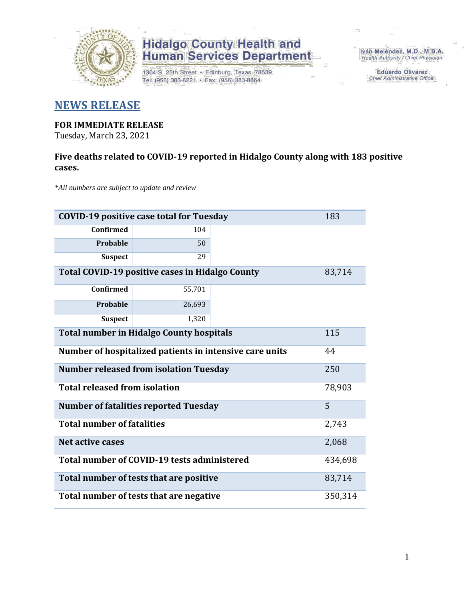

1304 S. 25th Street · Edinburg, Texas 78539 Tel: (956) 383-6221 · Fax: (956) 383-8864

Iván Meléndez, M.D., M.B.A. Health Authority / Chief Physician

> **Eduardo Olivarez** Chief Administrative Officer

### **NEWS RELEASE**

#### **FOR IMMEDIATE RELEASE**

Tuesday, March 23, 2021

### **Five deaths related to COVID-19 reported in Hidalgo County along with 183 positive cases.**

*\*All numbers are subject to update and review*

| <b>COVID-19 positive case total for Tuesday</b><br>183           |         |  |  |  |  |  |
|------------------------------------------------------------------|---------|--|--|--|--|--|
| <b>Confirmed</b>                                                 | 104     |  |  |  |  |  |
| Probable                                                         | 50      |  |  |  |  |  |
| <b>Suspect</b>                                                   | 29      |  |  |  |  |  |
| <b>Total COVID-19 positive cases in Hidalgo County</b><br>83,714 |         |  |  |  |  |  |
| Confirmed                                                        | 55,701  |  |  |  |  |  |
| Probable                                                         | 26,693  |  |  |  |  |  |
| <b>Suspect</b>                                                   | 1,320   |  |  |  |  |  |
| <b>Total number in Hidalgo County hospitals</b>                  | 115     |  |  |  |  |  |
| Number of hospitalized patients in intensive care units          | 44      |  |  |  |  |  |
| <b>Number released from isolation Tuesday</b><br>250             |         |  |  |  |  |  |
| <b>Total released from isolation</b>                             | 78,903  |  |  |  |  |  |
| <b>Number of fatalities reported Tuesday</b>                     | 5       |  |  |  |  |  |
| <b>Total number of fatalities</b>                                | 2,743   |  |  |  |  |  |
| Net active cases                                                 | 2,068   |  |  |  |  |  |
| Total number of COVID-19 tests administered                      | 434,698 |  |  |  |  |  |
| Total number of tests that are positive                          | 83,714  |  |  |  |  |  |
| Total number of tests that are negative                          | 350,314 |  |  |  |  |  |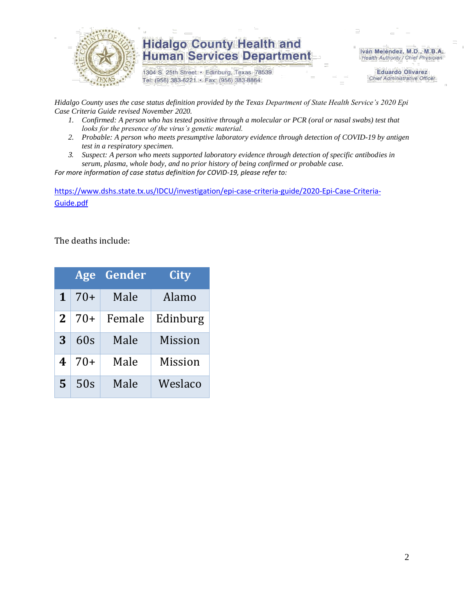

1304 S. 25th Street · Edinburg, Texas 78539 Tel: (956) 383-6221 · Fax: (956) 383-8864

Iván Meléndez, M.D., M.B.A. Health Authority / Chief Physician

> **Eduardo Olivarez Chief Administrative Officer**

*Hidalgo County uses the case status definition provided by the Texas Department of State Health Service's 2020 Epi Case Criteria Guide revised November 2020.*

- *1. Confirmed: A person who has tested positive through a molecular or PCR (oral or nasal swabs) test that looks for the presence of the virus's genetic material.*
- *2. Probable: A person who meets presumptive laboratory evidence through detection of COVID-19 by antigen test in a respiratory specimen.*
- *3. Suspect: A person who meets supported laboratory evidence through detection of specific antibodies in serum, plasma, whole body, and no prior history of being confirmed or probable case.*

*For more information of case status definition for COVID-19, please refer to:*

[https://www.dshs.state.tx.us/IDCU/investigation/epi-case-criteria-guide/2020-Epi-Case-Criteria-](https://www.dshs.state.tx.us/IDCU/investigation/epi-case-criteria-guide/2020-Epi-Case-Criteria-Guide.pdf)[Guide.pdf](https://www.dshs.state.tx.us/IDCU/investigation/epi-case-criteria-guide/2020-Epi-Case-Criteria-Guide.pdf)

The deaths include:

|          | Age   | Gender | City           |
|----------|-------|--------|----------------|
| 1        | $70+$ | Male   | Alamo          |
| $\bf{2}$ | 70+   | Female | Edinburg       |
| 3        | 60s   | Male   | <b>Mission</b> |
| 4        | $70+$ | Male   | <b>Mission</b> |
| 5        | 50s   | Male   | Weslaco        |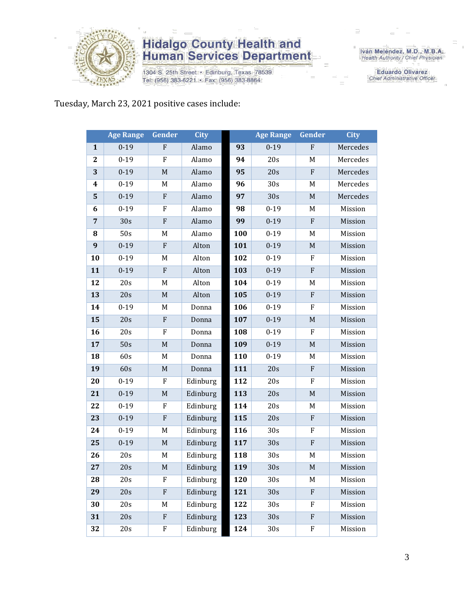

1304 S. 25th Street · Edinburg, Texas 78539 Tel: (956) 383-6221 · Fax: (956) 383-8864

Iván Meléndez, M.D., M.B.A.<br>Health Authority / Chief Physician

**Eduardo Olivarez** Chief Administrative Officer

### Tuesday, March 23, 2021 positive cases include:

|                  | <b>Age Range</b> | Gender           | <b>City</b> |     | <b>Age Range</b> | Gender      | <b>City</b> |
|------------------|------------------|------------------|-------------|-----|------------------|-------------|-------------|
| $\mathbf{1}$     | $0 - 19$         | ${\bf F}$        | Alamo       | 93  | $0 - 19$         | ${\rm F}$   | Mercedes    |
| $\boldsymbol{2}$ | $0 - 19$         | ${\bf F}$        | Alamo       | 94  | 20s              | M           | Mercedes    |
| 3                | $0 - 19$         | $\mathbf M$      | Alamo       | 95  | 20s              | ${\rm F}$   | Mercedes    |
| 4                | $0 - 19$         | M                | Alamo       | 96  | 30s              | M           | Mercedes    |
| $\mathbf{5}$     | $0 - 19$         | ${\bf F}$        | Alamo       | 97  | 30s              | $\mathbf M$ | Mercedes    |
| 6                | $0 - 19$         | F                | Alamo       | 98  | $0 - 19$         | M           | Mission     |
| $\overline{7}$   | 30s              | ${\bf F}$        | Alamo       | 99  | $0 - 19$         | ${\bf F}$   | Mission     |
| 8                | 50s              | $\mathbf M$      | Alamo       | 100 | $0 - 19$         | M           | Mission     |
| $\boldsymbol{9}$ | $0 - 19$         | ${\bf F}$        | Alton       | 101 | $0 - 19$         | $\mathbf M$ | Mission     |
| 10               | $0 - 19$         | $\mathbf M$      | Alton       | 102 | $0 - 19$         | ${\bf F}$   | Mission     |
| 11               | $0 - 19$         | $\boldsymbol{F}$ | Alton       | 103 | $0 - 19$         | ${\bf F}$   | Mission     |
| 12               | 20s              | M                | Alton       | 104 | $0 - 19$         | M           | Mission     |
| 13               | 20s              | $\mathbf M$      | Alton       | 105 | $0 - 19$         | ${\bf F}$   | Mission     |
| 14               | $0 - 19$         | M                | Donna       | 106 | $0 - 19$         | F           | Mission     |
| 15               | 20s              | ${\bf F}$        | Donna       | 107 | $0 - 19$         | $\mathbf M$ | Mission     |
| 16               | 20s              | ${\bf F}$        | Donna       | 108 | $0 - 19$         | ${\bf F}$   | Mission     |
| 17               | 50s              | $\mathbf M$      | Donna       | 109 | $0 - 19$         | $\mathbf M$ | Mission     |
| 18               | 60s              | M                | Donna       | 110 | $0 - 19$         | M           | Mission     |
| 19               | 60s              | $\mathbf M$      | Donna       | 111 | 20s              | ${\bf F}$   | Mission     |
| 20               | $0 - 19$         | F                | Edinburg    | 112 | 20s              | ${\bf F}$   | Mission     |
| 21               | $0 - 19$         | $\mathbf M$      | Edinburg    | 113 | 20s              | $\mathbf M$ | Mission     |
| 22               | $0 - 19$         | ${\bf F}$        | Edinburg    | 114 | 20s              | M           | Mission     |
| 23               | $0 - 19$         | ${\bf F}$        | Edinburg    | 115 | 20s              | ${\bf F}$   | Mission     |
| 24               | $0 - 19$         | M                | Edinburg    | 116 | 30s              | F           | Mission     |
| 25               | $0 - 19$         | $\mathbf M$      | Edinburg    | 117 | 30s              | ${\bf F}$   | Mission     |
| 26               | 20s              | $\mathbf M$      | Edinburg    | 118 | 30s              | M           | Mission     |
| 27               | 20s              | M                | Edinburg    | 119 | 30s              | M           | Mission     |
| 28               | 20s              | F                | Edinburg    | 120 | 30 <sub>s</sub>  | M           | Mission     |
| 29               | 20s              | ${\bf F}$        | Edinburg    | 121 | 30s              | $\rm F$     | Mission     |
| 30               | 20s              | M                | Edinburg    | 122 | 30s              | F           | Mission     |
| 31               | 20s              | ${\bf F}$        | Edinburg    | 123 | 30s              | ${\bf F}$   | Mission     |
| 32               | 20s              | ${\bf F}$        | Edinburg    | 124 | 30s              | F           | Mission     |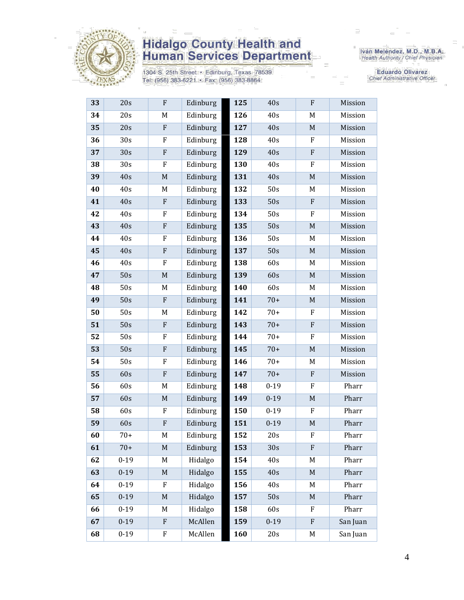

1304 S. 25th Street · Edinburg, Texas 78539 Tel: (956) 383-6221 · Fax: (956) 383-8864

Iván Meléndez, M.D., M.B.A.<br>Health Authority / Chief Physician

Eduardo Olivarez Chief Administrative Officer

| 33 | 20s             | F           | Edinburg | <b>125</b> | 40s      | F                         | Mission  |
|----|-----------------|-------------|----------|------------|----------|---------------------------|----------|
| 34 | 20s             | M           | Edinburg | 126        | 40s      | M                         | Mission  |
| 35 | 20s             | ${\bf F}$   | Edinburg | 127        | 40s      | $\mathbf M$               | Mission  |
| 36 | 30 <sub>s</sub> | ${\bf F}$   | Edinburg | 128        | 40s      | F                         | Mission  |
| 37 | 30s             | ${\bf F}$   | Edinburg | 129        | 40s      | ${\bf F}$                 | Mission  |
| 38 | 30s             | ${\bf F}$   | Edinburg | 130        | 40s      | F                         | Mission  |
| 39 | 40s             | $\mathbf M$ | Edinburg | 131        | 40s      | $\mathbf M$               | Mission  |
| 40 | 40s             | M           | Edinburg | 132        | 50s      | M                         | Mission  |
| 41 | 40s             | ${\bf F}$   | Edinburg | 133        | 50s      | $\boldsymbol{\mathrm{F}}$ | Mission  |
| 42 | 40s             | ${\bf F}$   | Edinburg | 134        | 50s      | F                         | Mission  |
| 43 | 40s             | ${\bf F}$   | Edinburg | 135        | 50s      | $\mathbf M$               | Mission  |
| 44 | 40s             | F           | Edinburg | 136        | 50s      | M                         | Mission  |
| 45 | 40s             | ${\bf F}$   | Edinburg | 137        | 50s      | $\mathbf M$               | Mission  |
| 46 | 40s             | ${\bf F}$   | Edinburg | 138        | 60s      | M                         | Mission  |
| 47 | 50s             | $\mathbf M$ | Edinburg | 139        | 60s      | $\mathbf M$               | Mission  |
| 48 | 50s             | M           | Edinburg | 140        | 60s      | M                         | Mission  |
| 49 | 50s             | ${\bf F}$   | Edinburg | 141        | $70+$    | $\mathbf M$               | Mission  |
| 50 | 50s             | M           | Edinburg | 142        | $70+$    | F                         | Mission  |
| 51 | 50s             | ${\bf F}$   | Edinburg | 143        | $70+$    | ${\bf F}$                 | Mission  |
| 52 | 50s             | F           | Edinburg | 144        | $70+$    | F                         | Mission  |
| 53 | 50s             | ${\bf F}$   | Edinburg | 145        | $70+$    | $\mathbf M$               | Mission  |
| 54 | 50s             | F           | Edinburg | 146        | $70+$    | M                         | Mission  |
| 55 | 60s             | ${\bf F}$   | Edinburg | 147        | $70+$    | ${\bf F}$                 | Mission  |
| 56 | 60s             | $\mathbf M$ | Edinburg | 148        | $0 - 19$ | F                         | Pharr    |
| 57 | 60s             | $\mathbf M$ | Edinburg | 149        | $0 - 19$ | $\mathbf M$               | Pharr    |
| 58 | 60s             | F           | Edinburg | 150        | $0 - 19$ | F                         | Pharr    |
| 59 | 60s             | ${\bf F}$   | Edinburg | 151        | $0 - 19$ | $\mathbf M$               | Pharr    |
| 60 | $70+$           | M           | Edinburg | 152        | 20s      | F                         | Pharr    |
| 61 | $70+$           | M           | Edinburg | 153        | 30s      | ${\bf F}$                 | Pharr    |
| 62 | $0 - 19$        | M           | Hidalgo  | 154        | 40s      | M                         | Pharr    |
| 63 | $0 - 19$        | $\mathbf M$ | Hidalgo  | 155        | 40s      | $\mathbf M$               | Pharr    |
| 64 | $0 - 19$        | F           | Hidalgo  | 156        | 40s      | M                         | Pharr    |
| 65 | $0 - 19$        | $\mathbf M$ | Hidalgo  | 157        | 50s      | $\mathbf M$               | Pharr    |
| 66 | $0 - 19$        | M           | Hidalgo  | 158        | 60s      | F                         | Pharr    |
| 67 | $0 - 19$        | ${\bf F}$   | McAllen  | 159        | $0 - 19$ | $\boldsymbol{\mathrm{F}}$ | San Juan |
| 68 | $0 - 19$        | F           | McAllen  | 160        | 20s      | M                         | San Juan |